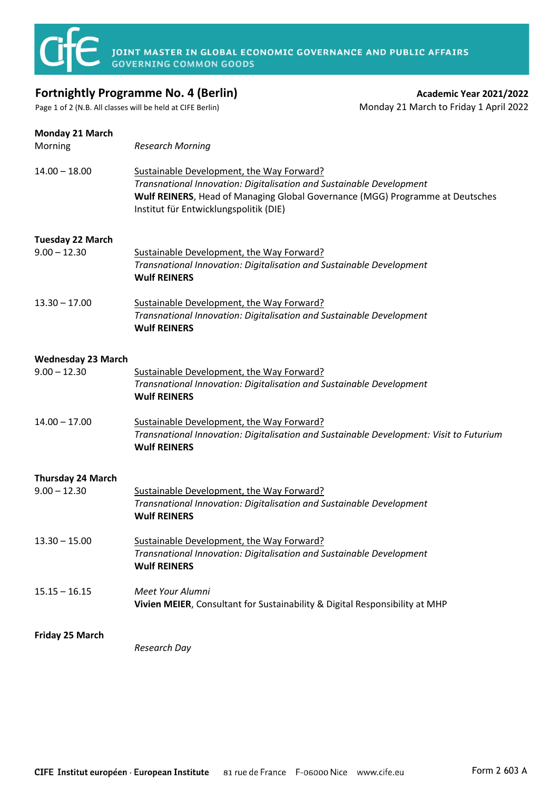

## **Fortnightly Programme No. 4 (Berlin) Academic Year 2021/2022 Academic Year 2021/2022**

Page 1 of 2 (N.B. All classes will be held at CIFE Berlin) Monday 21 March to Friday 1 April 2022

| <b>Monday 21 March</b><br>Morning           | <b>Research Morning</b>                                                                                                                                                                                                                      |
|---------------------------------------------|----------------------------------------------------------------------------------------------------------------------------------------------------------------------------------------------------------------------------------------------|
| $14.00 - 18.00$                             | Sustainable Development, the Way Forward?<br>Transnational Innovation: Digitalisation and Sustainable Development<br>Wulf REINERS, Head of Managing Global Governance (MGG) Programme at Deutsches<br>Institut für Entwicklungspolitik (DIE) |
| Tuesday 22 March                            |                                                                                                                                                                                                                                              |
| $9.00 - 12.30$                              | Sustainable Development, the Way Forward?<br>Transnational Innovation: Digitalisation and Sustainable Development<br><b>Wulf REINERS</b>                                                                                                     |
| $13.30 - 17.00$                             | Sustainable Development, the Way Forward?<br>Transnational Innovation: Digitalisation and Sustainable Development<br><b>Wulf REINERS</b>                                                                                                     |
| <b>Wednesday 23 March</b><br>$9.00 - 12.30$ | Sustainable Development, the Way Forward?<br>Transnational Innovation: Digitalisation and Sustainable Development<br><b>Wulf REINERS</b>                                                                                                     |
| $14.00 - 17.00$                             | Sustainable Development, the Way Forward?<br>Transnational Innovation: Digitalisation and Sustainable Development: Visit to Futurium<br><b>Wulf REINERS</b>                                                                                  |
| Thursday 24 March                           |                                                                                                                                                                                                                                              |
| $9.00 - 12.30$                              | Sustainable Development, the Way Forward?<br>Transnational Innovation: Digitalisation and Sustainable Development<br><b>Wulf REINERS</b>                                                                                                     |
| $13.30 - 15.00$                             | Sustainable Development, the Way Forward?<br>Transnational Innovation: Digitalisation and Sustainable Development<br><b>Wulf REINERS</b>                                                                                                     |
| $15.15 - 16.15$                             | Meet Your Alumni<br>Vivien MEIER, Consultant for Sustainability & Digital Responsibility at MHP                                                                                                                                              |
| Friday 25 March                             | Research Day                                                                                                                                                                                                                                 |